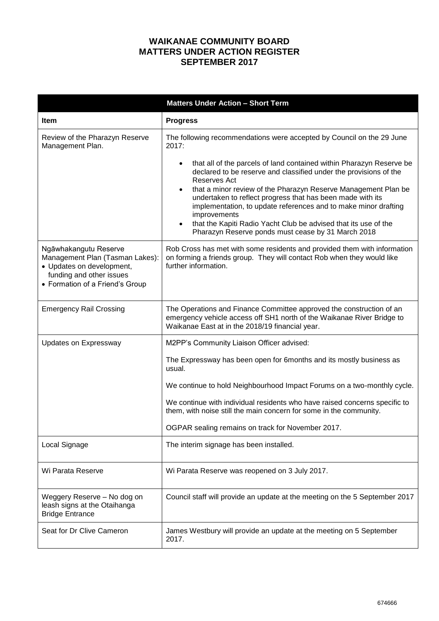## **WAIKANAE COMMUNITY BOARD MATTERS UNDER ACTION REGISTER SEPTEMBER 2017**

|                                                                                                                                                      | <b>Matters Under Action - Short Term</b>                                                                                                                                                                                                                                                                                                                                                                                                                                                                                                                                                     |
|------------------------------------------------------------------------------------------------------------------------------------------------------|----------------------------------------------------------------------------------------------------------------------------------------------------------------------------------------------------------------------------------------------------------------------------------------------------------------------------------------------------------------------------------------------------------------------------------------------------------------------------------------------------------------------------------------------------------------------------------------------|
| <b>Item</b>                                                                                                                                          | <b>Progress</b>                                                                                                                                                                                                                                                                                                                                                                                                                                                                                                                                                                              |
| Review of the Pharazyn Reserve<br>Management Plan.                                                                                                   | The following recommendations were accepted by Council on the 29 June<br>2017:<br>that all of the parcels of land contained within Pharazyn Reserve be<br>declared to be reserve and classified under the provisions of the<br>Reserves Act<br>that a minor review of the Pharazyn Reserve Management Plan be<br>٠<br>undertaken to reflect progress that has been made with its<br>implementation, to update references and to make minor drafting<br>improvements<br>that the Kapiti Radio Yacht Club be advised that its use of the<br>Pharazyn Reserve ponds must cease by 31 March 2018 |
| Ngāwhakangutu Reserve<br>Management Plan (Tasman Lakes):<br>• Updates on development,<br>funding and other issues<br>• Formation of a Friend's Group | Rob Cross has met with some residents and provided them with information<br>on forming a friends group. They will contact Rob when they would like<br>further information.                                                                                                                                                                                                                                                                                                                                                                                                                   |
| <b>Emergency Rail Crossing</b>                                                                                                                       | The Operations and Finance Committee approved the construction of an<br>emergency vehicle access off SH1 north of the Waikanae River Bridge to<br>Waikanae East at in the 2018/19 financial year.                                                                                                                                                                                                                                                                                                                                                                                            |
| Updates on Expressway                                                                                                                                | M2PP's Community Liaison Officer advised:                                                                                                                                                                                                                                                                                                                                                                                                                                                                                                                                                    |
|                                                                                                                                                      | The Expressway has been open for 6months and its mostly business as<br>usual.<br>We continue to hold Neighbourhood Impact Forums on a two-monthly cycle.                                                                                                                                                                                                                                                                                                                                                                                                                                     |
|                                                                                                                                                      | We continue with individual residents who have raised concerns specific to<br>them, with noise still the main concern for some in the community.                                                                                                                                                                                                                                                                                                                                                                                                                                             |
|                                                                                                                                                      | OGPAR sealing remains on track for November 2017.                                                                                                                                                                                                                                                                                                                                                                                                                                                                                                                                            |
| Local Signage                                                                                                                                        | The interim signage has been installed.                                                                                                                                                                                                                                                                                                                                                                                                                                                                                                                                                      |
| Wi Parata Reserve                                                                                                                                    | Wi Parata Reserve was reopened on 3 July 2017.                                                                                                                                                                                                                                                                                                                                                                                                                                                                                                                                               |
| Weggery Reserve - No dog on<br>leash signs at the Otaihanga<br><b>Bridge Entrance</b>                                                                | Council staff will provide an update at the meeting on the 5 September 2017                                                                                                                                                                                                                                                                                                                                                                                                                                                                                                                  |
| Seat for Dr Clive Cameron                                                                                                                            | James Westbury will provide an update at the meeting on 5 September<br>2017.                                                                                                                                                                                                                                                                                                                                                                                                                                                                                                                 |